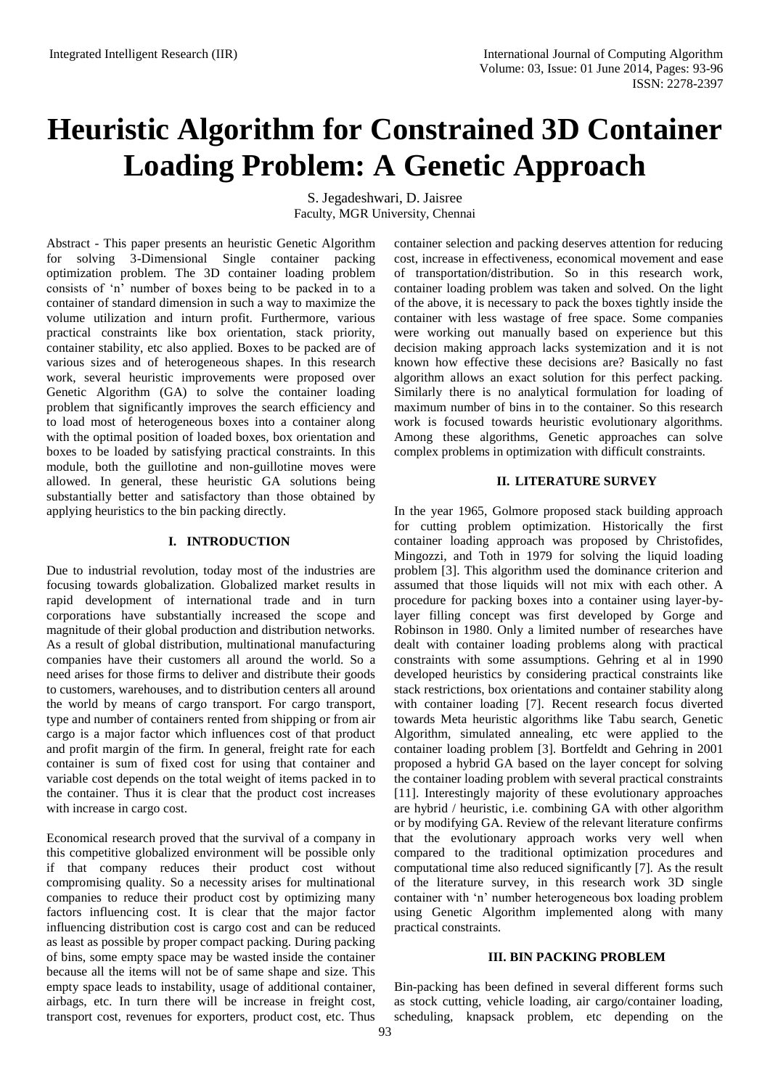# **Heuristic Algorithm for Constrained 3D Container Loading Problem: A Genetic Approach**

S. Jegadeshwari, D. Jaisree Faculty, MGR University, Chennai

Abstract - This paper presents an heuristic Genetic Algorithm for solving 3-Dimensional Single container packing optimization problem. The 3D container loading problem consists of 'n' number of boxes being to be packed in to a container of standard dimension in such a way to maximize the volume utilization and inturn profit. Furthermore, various practical constraints like box orientation, stack priority, container stability, etc also applied. Boxes to be packed are of various sizes and of heterogeneous shapes. In this research work, several heuristic improvements were proposed over Genetic Algorithm (GA) to solve the container loading problem that significantly improves the search efficiency and to load most of heterogeneous boxes into a container along with the optimal position of loaded boxes, box orientation and boxes to be loaded by satisfying practical constraints. In this module, both the guillotine and non-guillotine moves were allowed. In general, these heuristic GA solutions being substantially better and satisfactory than those obtained by applying heuristics to the bin packing directly.

# **I. INTRODUCTION**

Due to industrial revolution, today most of the industries are focusing towards globalization. Globalized market results in rapid development of international trade and in turn corporations have substantially increased the scope and magnitude of their global production and distribution networks. As a result of global distribution, multinational manufacturing companies have their customers all around the world. So a need arises for those firms to deliver and distribute their goods to customers, warehouses, and to distribution centers all around the world by means of cargo transport. For cargo transport, type and number of containers rented from shipping or from air cargo is a major factor which influences cost of that product and profit margin of the firm. In general, freight rate for each container is sum of fixed cost for using that container and variable cost depends on the total weight of items packed in to the container. Thus it is clear that the product cost increases with increase in cargo cost.

Economical research proved that the survival of a company in this competitive globalized environment will be possible only if that company reduces their product cost without compromising quality. So a necessity arises for multinational companies to reduce their product cost by optimizing many factors influencing cost. It is clear that the major factor influencing distribution cost is cargo cost and can be reduced as least as possible by proper compact packing. During packing of bins, some empty space may be wasted inside the container because all the items will not be of same shape and size. This empty space leads to instability, usage of additional container, airbags, etc. In turn there will be increase in freight cost, transport cost, revenues for exporters, product cost, etc. Thus

container selection and packing deserves attention for reducing cost, increase in effectiveness, economical movement and ease of transportation/distribution. So in this research work, container loading problem was taken and solved. On the light of the above, it is necessary to pack the boxes tightly inside the container with less wastage of free space. Some companies were working out manually based on experience but this decision making approach lacks systemization and it is not known how effective these decisions are? Basically no fast algorithm allows an exact solution for this perfect packing. Similarly there is no analytical formulation for loading of maximum number of bins in to the container. So this research work is focused towards heuristic evolutionary algorithms. Among these algorithms, Genetic approaches can solve complex problems in optimization with difficult constraints.

# **II. LITERATURE SURVEY**

In the year 1965, Golmore proposed stack building approach for cutting problem optimization. Historically the first container loading approach was proposed by Christofides, Mingozzi, and Toth in 1979 for solving the liquid loading problem [3]. This algorithm used the dominance criterion and assumed that those liquids will not mix with each other. A procedure for packing boxes into a container using layer-bylayer filling concept was first developed by Gorge and Robinson in 1980. Only a limited number of researches have dealt with container loading problems along with practical constraints with some assumptions. Gehring et al in 1990 developed heuristics by considering practical constraints like stack restrictions, box orientations and container stability along with container loading [7]. Recent research focus diverted towards Meta heuristic algorithms like Tabu search, Genetic Algorithm, simulated annealing, etc were applied to the container loading problem [3]. Bortfeldt and Gehring in 2001 proposed a hybrid GA based on the layer concept for solving the container loading problem with several practical constraints [11]. Interestingly majority of these evolutionary approaches are hybrid / heuristic, i.e. combining GA with other algorithm or by modifying GA. Review of the relevant literature confirms that the evolutionary approach works very well when compared to the traditional optimization procedures and computational time also reduced significantly [7]. As the result of the literature survey, in this research work 3D single container with 'n' number heterogeneous box loading problem using Genetic Algorithm implemented along with many practical constraints.

# **III. BIN PACKING PROBLEM**

Bin-packing has been defined in several different forms such as stock cutting, vehicle loading, air cargo/container loading, scheduling, knapsack problem, etc depending on the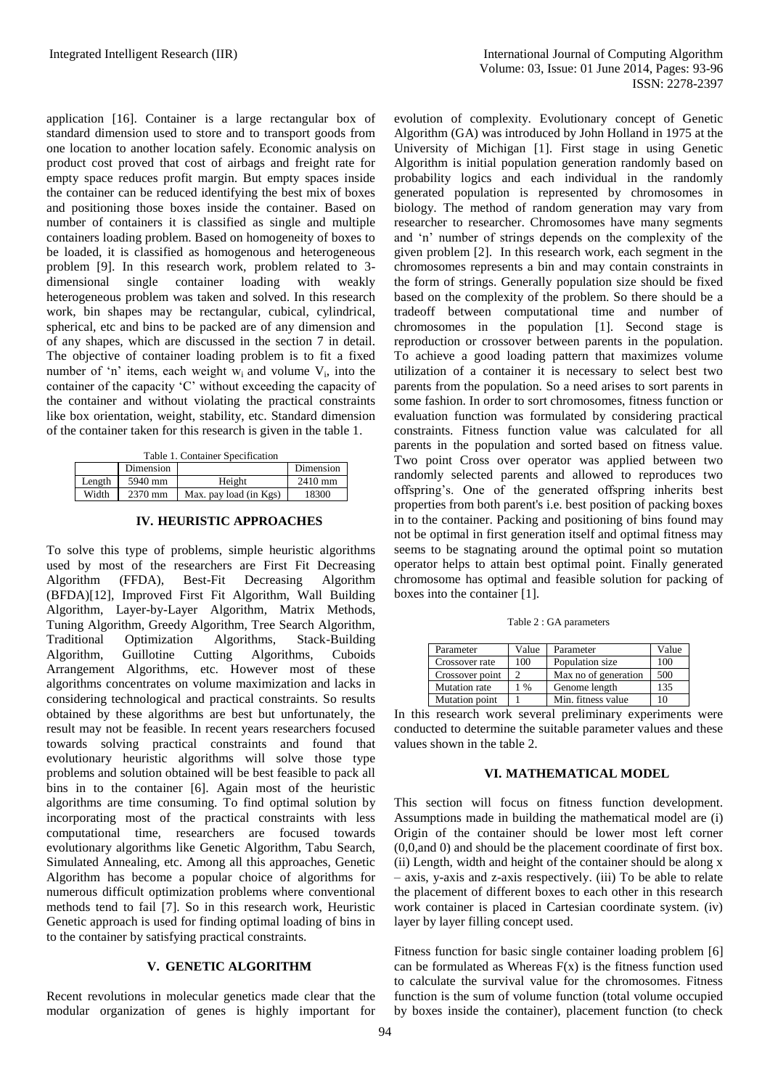application [16]. Container is a large rectangular box of standard dimension used to store and to transport goods from one location to another location safely. Economic analysis on product cost proved that cost of airbags and freight rate for empty space reduces profit margin. But empty spaces inside the container can be reduced identifying the best mix of boxes and positioning those boxes inside the container. Based on number of containers it is classified as single and multiple containers loading problem. Based on homogeneity of boxes to be loaded, it is classified as homogenous and heterogeneous problem [9]. In this research work, problem related to 3 dimensional single container loading with weakly heterogeneous problem was taken and solved. In this research work, bin shapes may be rectangular, cubical, cylindrical, spherical, etc and bins to be packed are of any dimension and of any shapes, which are discussed in the section 7 in detail. The objective of container loading problem is to fit a fixed number of 'n' items, each weight  $w_i$  and volume  $V_i$ , into the container of the capacity 'C' without exceeding the capacity of the container and without violating the practical constraints like box orientation, weight, stability, etc. Standard dimension of the container taken for this research is given in the table 1.

| Table 1. Container Specification |  |
|----------------------------------|--|
|----------------------------------|--|

|        | Dimension |                        | Dimension         |
|--------|-----------|------------------------|-------------------|
| Length | 5940 mm   | Height                 | $2410 \text{ mm}$ |
| Width  | 2370 mm   | Max. pay load (in Kgs) | 18300             |

**IV. HEURISTIC APPROACHES**

To solve this type of problems, simple heuristic algorithms used by most of the researchers are First Fit Decreasing Algorithm (FFDA), Best-Fit Decreasing Algorithm (BFDA)[12], Improved First Fit Algorithm, Wall Building Algorithm, Layer-by-Layer Algorithm, Matrix Methods, Tuning Algorithm, Greedy Algorithm, Tree Search Algorithm, Traditional Optimization Algorithms, Stack-Building Algorithm, Guillotine Cutting Algorithms, Cuboids Arrangement Algorithms, etc. However most of these algorithms concentrates on volume maximization and lacks in considering technological and practical constraints. So results obtained by these algorithms are best but unfortunately, the result may not be feasible. In recent years researchers focused towards solving practical constraints and found that evolutionary heuristic algorithms will solve those type problems and solution obtained will be best feasible to pack all bins in to the container [6]. Again most of the heuristic algorithms are time consuming. To find optimal solution by incorporating most of the practical constraints with less computational time, researchers are focused towards evolutionary algorithms like Genetic Algorithm, Tabu Search, Simulated Annealing, etc. Among all this approaches, Genetic Algorithm has become a popular choice of algorithms for numerous difficult optimization problems where conventional methods tend to fail [7]. So in this research work, Heuristic Genetic approach is used for finding optimal loading of bins in to the container by satisfying practical constraints.

### **V. GENETIC ALGORITHM**

Recent revolutions in molecular genetics made clear that the modular organization of genes is highly important for evolution of complexity. Evolutionary concept of Genetic Algorithm (GA) was introduced by John Holland in 1975 at the University of Michigan [1]. First stage in using Genetic Algorithm is initial population generation randomly based on probability logics and each individual in the randomly generated population is represented by chromosomes in biology. The method of random generation may vary from researcher to researcher. Chromosomes have many segments and 'n' number of strings depends on the complexity of the given problem [2]. In this research work, each segment in the chromosomes represents a bin and may contain constraints in the form of strings. Generally population size should be fixed based on the complexity of the problem. So there should be a tradeoff between computational time and number of chromosomes in the population [1]. Second stage is reproduction or crossover between parents in the population. To achieve a good loading pattern that maximizes volume utilization of a container it is necessary to select best two parents from the population. So a need arises to sort parents in some fashion. In order to sort chromosomes, fitness function or evaluation function was formulated by considering practical constraints. Fitness function value was calculated for all parents in the population and sorted based on fitness value. Two point Cross over operator was applied between two randomly selected parents and allowed to reproduces two offspring's. One of the generated offspring inherits best properties from both parent's i.e. best position of packing boxes in to the container. Packing and positioning of bins found may not be optimal in first generation itself and optimal fitness may seems to be stagnating around the optimal point so mutation operator helps to attain best optimal point. Finally generated chromosome has optimal and feasible solution for packing of boxes into the container [1].

Table 2 : GA parameters

| Parameter       | Value         | Parameter            | Value |
|-----------------|---------------|----------------------|-------|
| Crossover rate  | 100           | Population size      | 100   |
| Crossover point |               | Max no of generation | 500   |
| Mutation rate   | $\frac{0}{0}$ | Genome length        | 135   |
| Mutation point  |               | Min. fitness value   |       |

In this research work several preliminary experiments were conducted to determine the suitable parameter values and these values shown in the table 2.

# **VI. MATHEMATICAL MODEL**

This section will focus on fitness function development. Assumptions made in building the mathematical model are (i) Origin of the container should be lower most left corner (0,0,and 0) and should be the placement coordinate of first box. (ii) Length, width and height of the container should be along x – axis, y-axis and z-axis respectively. (iii) To be able to relate the placement of different boxes to each other in this research work container is placed in Cartesian coordinate system. (iv) layer by layer filling concept used.

Fitness function for basic single container loading problem [6] can be formulated as Whereas  $F(x)$  is the fitness function used to calculate the survival value for the chromosomes. Fitness function is the sum of volume function (total volume occupied by boxes inside the container), placement function (to check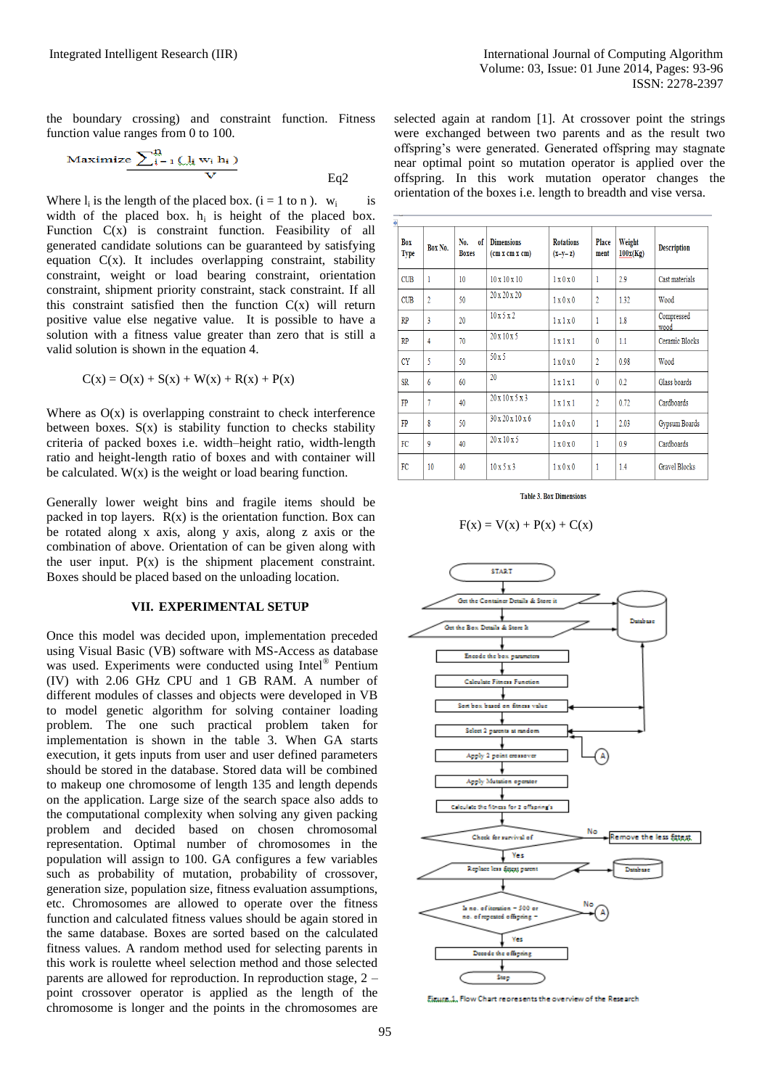the boundary crossing) and constraint function. Fitness function value ranges from 0 to 100.

$$
\frac{\text{Maximize } \sum_{i=1}^{\infty} (\int_{i} w_{i} h_{i})}{V} \qquad \qquad \text{Eq2}
$$

Where  $l_i$  is the length of the placed box. ( $i = 1$  to n).  $w_i$ is width of the placed box.  $h_i$  is height of the placed box. Function  $C(x)$  is constraint function. Feasibility of all generated candidate solutions can be guaranteed by satisfying equation  $C(x)$ . It includes overlapping constraint, stability constraint, weight or load bearing constraint, orientation constraint, shipment priority constraint, stack constraint. If all this constraint satisfied then the function  $C(x)$  will return positive value else negative value. It is possible to have a solution with a fitness value greater than zero that is still a valid solution is shown in the equation 4.

$$
C(x) = O(x) + S(x) + W(x) + R(x) + P(x)
$$

Where as  $O(x)$  is overlapping constraint to check interference between boxes.  $S(x)$  is stability function to checks stability criteria of packed boxes i.e. width–height ratio, width-length ratio and height-length ratio of boxes and with container will be calculated.  $W(x)$  is the weight or load bearing function.

Generally lower weight bins and fragile items should be packed in top layers.  $R(x)$  is the orientation function. Box can be rotated along x axis, along y axis, along z axis or the combination of above. Orientation of can be given along with the user input.  $P(x)$  is the shipment placement constraint. Boxes should be placed based on the unloading location.

# **VII. EXPERIMENTAL SETUP**

Once this model was decided upon, implementation preceded using Visual Basic (VB) software with MS-Access as database was used. Experiments were conducted using Intel® Pentium (IV) with 2.06 GHz CPU and 1 GB RAM. A number of different modules of classes and objects were developed in VB to model genetic algorithm for solving container loading problem. The one such practical problem taken for implementation is shown in the table 3. When GA starts execution, it gets inputs from user and user defined parameters should be stored in the database. Stored data will be combined to makeup one chromosome of length 135 and length depends on the application. Large size of the search space also adds to the computational complexity when solving any given packing problem and decided based on chosen chromosomal representation. Optimal number of chromosomes in the population will assign to 100. GA configures a few variables such as probability of mutation, probability of crossover, generation size, population size, fitness evaluation assumptions, etc. Chromosomes are allowed to operate over the fitness function and calculated fitness values should be again stored in the same database. Boxes are sorted based on the calculated fitness values. A random method used for selecting parents in this work is roulette wheel selection method and those selected parents are allowed for reproduction. In reproduction stage, 2 – point crossover operator is applied as the length of the chromosome is longer and the points in the chromosomes are

selected again at random [1]. At crossover point the strings were exchanged between two parents and as the result two offspring's were generated. Generated offspring may stagnate near optimal point so mutation operator is applied over the offspring. In this work mutation operator changes the orientation of the boxes i.e. length to breadth and vise versa.

| Box<br><b>Type</b> | Box No.        | No.<br><sub>0</sub> f<br><b>Boxes</b> | <b>Dimensions</b><br>$(\text{cm } x \text{ cm } x \text{ cm})$ | <b>Rotations</b><br>$(x-y-z)$ | Place<br>ment  | Weight<br>100x(Kg) | <b>Description</b>   |
|--------------------|----------------|---------------------------------------|----------------------------------------------------------------|-------------------------------|----------------|--------------------|----------------------|
| <b>CUB</b>         | 1              | 10                                    | $10 \times 10 \times 10$                                       | 1 x 0 x 0                     | $\mathbf{1}$   | 2.9                | Cast materials       |
| <b>CUB</b>         | $\overline{2}$ | 50                                    | $20 \times 20 \times 20$                                       | 1 x 0 x 0                     | $\overline{2}$ | 1.32               | Wood                 |
| <b>RP</b>          | 3              | 20                                    | 10x5x2                                                         | 1x1x0                         | $\mathbf{1}$   | 1.8                | Compressed<br>wood   |
| <b>RP</b>          | 4              | 70                                    | $20 \times 10 \times 5$                                        | 1x1x1                         | $\mathbf{0}$   | 1.1                | Ceramic Blocks       |
| <b>CY</b>          | 5              | 50                                    | 50x5                                                           | $1 \times 0 \times 0$         | $\overline{2}$ | 0.98               | Wood                 |
| <b>SR</b>          | 6              | 60                                    | 20                                                             | 1x1x1                         | $\mathbf{0}$   | 0.2                | Glass boards         |
| FP                 | 7              | 40                                    | 20x10x5x3                                                      | 1x1x1                         | $\overline{2}$ | 0.72               | Cardboards           |
| FP                 | 8              | 50                                    | $30 \times 20 \times 10 \times 6$                              | 1 x 0 x 0                     | 1              | 2.03               | Gypsum Boards        |
| FC                 | 9              | 40                                    | $20 \times 10 \times 5$                                        | 1 x 0 x 0                     | 1              | 0.9                | Cardboards           |
| FC                 | 10             | 40                                    | 10x5x3                                                         | 1 x 0 x 0                     | 1              | 1.4                | <b>Gravel Blocks</b> |

**Table 3. Box Dimensions** 

$$
F(x) = V(x) + P(x) + C(x)
$$



Figure 1, Flow Chart represents the overview of the Research